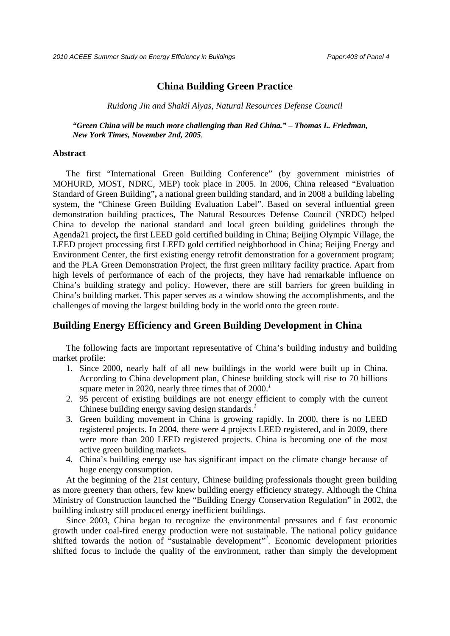*2010 ACEEE Summer Study on Energy Efficiency in Buildings Paper:403 of Panel 4*

# **China Building Green Practice**

*Ruidong Jin and Shakil Alyas, Natural Resources Defense Council* 

*"Green China will be much more challenging than Red China." – Thomas L. Friedman, New York Times, November 2nd, 2005.*

#### **Abstract**

The first "International Green Building Conference" (by government ministries of MOHURD, MOST, NDRC, MEP) took place in 2005. In 2006, China released "Evaluation Standard of Green Building"**,** a national green building standard, and in 2008 a building labeling system, the "Chinese Green Building Evaluation Label". Based on several influential green demonstration building practices, The Natural Resources Defense Council (NRDC) helped China to develop the national standard and local green building guidelines through the Agenda21 project**,** the first LEED gold certified building in China; Beijing Olympic Village, the LEED project processing first LEED gold certified neighborhood in China; Beijing Energy and Environment Center, the first existing energy retrofit demonstration for a government program; and the PLA Green Demonstration Project, the first green military facility practice. Apart from high levels of performance of each of the projects, they have had remarkable influence on China's building strategy and policy. However, there are still barriers for green building in China's building market. This paper serves as a window showing the accomplishments, and the challenges of moving the largest building body in the world onto the green route.

## **Building Energy Efficiency and Green Building Development in China**

The following facts are important representative of China's building industry and building market profile:

- 1. Since 2000, nearly half of all new buildings in the world were built up in China. According to China development plan, Chinese building stock will rise to 70 billions square meter in 2020, nearly three times that of 2000.*<sup>1</sup>*
- 2. 95 percent of existing buildings are not energy efficient to comply with the current Chinese building energy saving design standards.*<sup>1</sup>*
- 3. Green building movement in China is growing rapidly. In 2000, there is no LEED registered projects. In 2004, there were 4 projects LEED registered, and in 2009, there were more than 200 LEED registered projects. China is becoming one of the most active green building markets**.**
- 4. China's building energy use has significant impact on the climate change because of huge energy consumption.

At the beginning of the 21st century, Chinese building professionals thought green building as more greenery than others, few knew building energy efficiency strategy. Although the China Ministry of Construction launched the "Building Energy Conservation Regulation" in 2002, the building industry still produced energy inefficient buildings.

Since 2003, China began to recognize the environmental pressures and f fast economic growth under coal-fired energy production were not sustainable. The national policy guidance shifted towards the notion of "sustainable development"<sup>2</sup>. Economic development priorities shifted focus to include the quality of the environment, rather than simply the development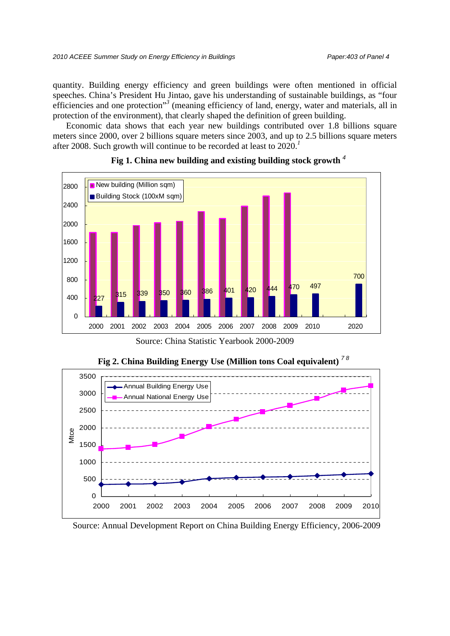quantity. Building energy efficiency and green buildings were often mentioned in official speeches. China's President Hu Jintao, gave his understanding of sustainable buildings, as "four efficiencies and one protection"<sup>3</sup> (meaning efficiency of land, energy, water and materials, all in protection of the environment), that clearly shaped the definition of green building.

Economic data shows that each year new buildings contributed over 1.8 billions square meters since 2000, over 2 billions square meters since 2003, and up to 2.5 billions square meters after 2008. Such growth will continue to be recorded at least to 2020.*<sup>1</sup>*



## **Fig 1. China new building and existing building stock growth** *<sup>4</sup>*

Source: China Statistic Yearbook 2000-2009



**Fig 2. China Building Energy Use (Million tons Coal equivalent)** *7 8*

Source: Annual Development Report on China Building Energy Efficiency, 2006-2009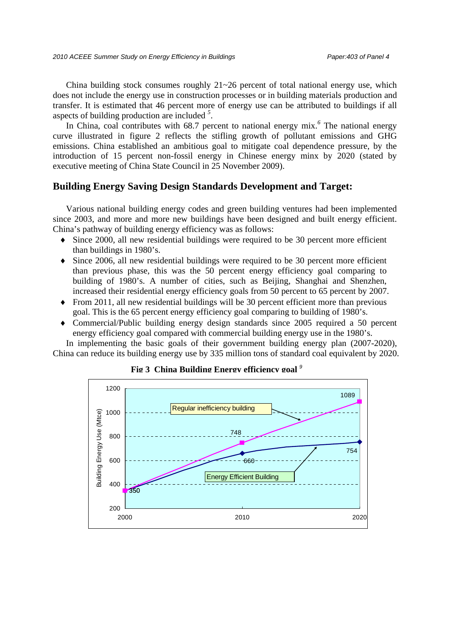China building stock consumes roughly  $21 \sim 26$  percent of total national energy use, which does not include the energy use in construction processes or in building materials production and transfer. It is estimated that 46 percent more of energy use can be attributed to buildings if all aspects of building production are included *<sup>5</sup>* .

In China, coal contributes with 68.7 percent to national energy mix.<sup>6</sup> The national energy curve illustrated in figure 2 reflects the stifling growth of pollutant emissions and GHG emissions. China established an ambitious goal to mitigate coal dependence pressure, by the introduction of 15 percent non-fossil energy in Chinese energy minx by 2020 (stated by executive meeting of China State Council in 25 November 2009).

# **Building Energy Saving Design Standards Development and Target:**

Various national building energy codes and green building ventures had been implemented since 2003, and more and more new buildings have been designed and built energy efficient. China's pathway of building energy efficiency was as follows:

- ♦ Since 2000, all new residential buildings were required to be 30 percent more efficient than buildings in 1980's.
- Since 2006, all new residential buildings were required to be 30 percent more efficient than previous phase, this was the 50 percent energy efficiency goal comparing to building of 1980's. A number of cities, such as Beijing, Shanghai and Shenzhen, increased their residential energy efficiency goals from 50 percent to 65 percent by 2007.
- ♦ From 2011, all new residential buildings will be 30 percent efficient more than previous goal. This is the 65 percent energy efficiency goal comparing to building of 1980's.
- Commercial/Public building energy design standards since 2005 required a 50 percent energy efficiency goal compared with commercial building energy use in the 1980's.

In implementing the basic goals of their government building energy plan (2007-2020), China can reduce its building energy use by 335 million tons of standard coal equivalent by 2020.



**Fig 3 China Building Energy efficiency goal** *<sup>9</sup>*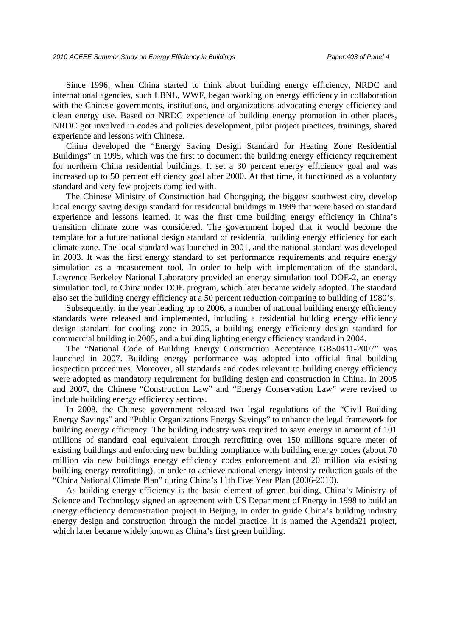Since 1996, when China started to think about building energy efficiency, NRDC and international agencies, such LBNL, WWF, began working on energy efficiency in collaboration with the Chinese governments, institutions, and organizations advocating energy efficiency and clean energy use. Based on NRDC experience of building energy promotion in other places, NRDC got involved in codes and policies development, pilot project practices, trainings, shared experience and lessons with Chinese.

China developed the "Energy Saving Design Standard for Heating Zone Residential Buildings" in 1995, which was the first to document the building energy efficiency requirement for northern China residential buildings. It set a 30 percent energy efficiency goal and was increased up to 50 percent efficiency goal after 2000. At that time, it functioned as a voluntary standard and very few projects complied with.

The Chinese Ministry of Construction had Chongqing, the biggest southwest city, develop local energy saving design standard for residential buildings in 1999 that were based on standard experience and lessons learned. It was the first time building energy efficiency in China's transition climate zone was considered. The government hoped that it would become the template for a future national design standard of residential building energy efficiency for each climate zone. The local standard was launched in 2001, and the national standard was developed in 2003. It was the first energy standard to set performance requirements and require energy simulation as a measurement tool. In order to help with implementation of the standard, Lawrence Berkeley National Laboratory provided an energy simulation tool DOE-2, an energy simulation tool, to China under DOE program, which later became widely adopted. The standard also set the building energy efficiency at a 50 percent reduction comparing to building of 1980's.

Subsequently, in the year leading up to 2006, a number of national building energy efficiency standards were released and implemented, including a residential building energy efficiency design standard for cooling zone in 2005, a building energy efficiency design standard for commercial building in 2005, and a building lighting energy efficiency standard in 2004.

The "National Code of Building Energy Construction Acceptance GB50411-2007" was launched in 2007. Building energy performance was adopted into official final building inspection procedures. Moreover, all standards and codes relevant to building energy efficiency were adopted as mandatory requirement for building design and construction in China. In 2005 and 2007, the Chinese "Construction Law" and "Energy Conservation Law" were revised to include building energy efficiency sections.

In 2008, the Chinese government released two legal regulations of the "Civil Building Energy Savings" and "Public Organizations Energy Savings" to enhance the legal framework for building energy efficiency. The building industry was required to save energy in amount of 101 millions of standard coal equivalent through retrofitting over 150 millions square meter of existing buildings and enforcing new building compliance with building energy codes (about 70 million via new buildings energy efficiency codes enforcement and 20 million via existing building energy retrofitting), in order to achieve national energy intensity reduction goals of the "China National Climate Plan" during China's 11th Five Year Plan (2006-2010).

As building energy efficiency is the basic element of green building, China's Ministry of Science and Technology signed an agreement with US Department of Energy in 1998 to build an energy efficiency demonstration project in Beijing, in order to guide China's building industry energy design and construction through the model practice. It is named the Agenda21 project, which later became widely known as China's first green building.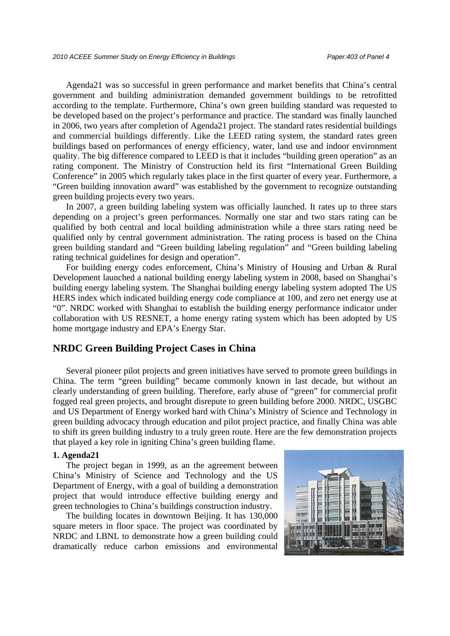Agenda21 was so successful in green performance and market benefits that China's central government and building administration demanded government buildings to be retrofitted according to the template. Furthermore, China's own green building standard was requested to be developed based on the project's performance and practice. The standard was finally launched in 2006, two years after completion of Agenda21 project. The standard rates residential buildings and commercial buildings differently. Like the LEED rating system, the standard rates green buildings based on performances of energy efficiency, water, land use and indoor environment quality. The big difference compared to LEED is that it includes "building green operation" as an rating component. The Ministry of Construction held its first "International Green Building Conference" in 2005 which regularly takes place in the first quarter of every year. Furthermore, a "Green building innovation award" was established by the government to recognize outstanding green building projects every two years.

In 2007, a green building labeling system was officially launched. It rates up to three stars depending on a project's green performances. Normally one star and two stars rating can be qualified by both central and local building administration while a three stars rating need be qualified only by central government administration. The rating process is based on the China green building standard and "Green building labeling regulation" and "Green building labeling rating technical guidelines for design and operation".

For building energy codes enforcement, China's Ministry of Housing and Urban & Rural Development launched a national building energy labeling system in 2008, based on Shanghai's building energy labeling system. The Shanghai building energy labeling system adopted The US HERS index which indicated building energy code compliance at 100, and zero net energy use at "0". NRDC worked with Shanghai to establish the building energy performance indicator under collaboration with US RESNET, a home energy rating system which has been adopted by US home mortgage industry and EPA's Energy Star.

# **NRDC Green Building Project Cases in China**

Several pioneer pilot projects and green initiatives have served to promote green buildings in China. The term "green building" became commonly known in last decade, but without an clearly understanding of green building. Therefore, early abuse of "green" for commercial profit fogged real green projects, and brought disrepute to green building before 2000. NRDC, USGBC and US Department of Energy worked hard with China's Ministry of Science and Technology in green building advocacy through education and pilot project practice, and finally China was able to shift its green building industry to a truly green route. Here are the few demonstration projects that played a key role in igniting China's green building flame.

#### **1. Agenda21**

The project began in 1999, as an the agreement between China's Ministry of Science and Technology and the US Department of Energy, with a goal of building a demonstration project that would introduce effective building energy and green technologies to China's buildings construction industry.

The building locates in downtown Beijing. It has 130,000 square meters in floor space. The project was coordinated by NRDC and LBNL to demonstrate how a green building could dramatically reduce carbon emissions and environmental

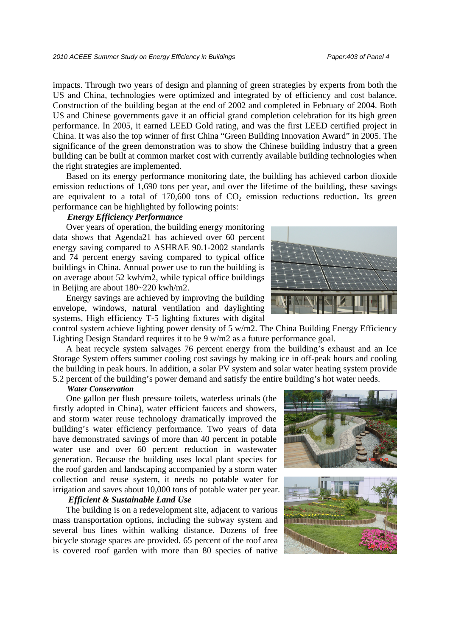impacts. Through two years of design and planning of green strategies by experts from both the US and China, technologies were optimized and integrated by of efficiency and cost balance. Construction of the building began at the end of 2002 and completed in February of 2004. Both US and Chinese governments gave it an official grand completion celebration for its high green performance. In 2005, it earned LEED Gold rating, and was the first LEED certified project in China. It was also the top winner of first China "Green Building Innovation Award" in 2005. The significance of the green demonstration was to show the Chinese building industry that a green building can be built at common market cost with currently available building technologies when the right strategies are implemented.

Based on its energy performance monitoring date, the building has achieved carbon dioxide emission reductions of 1,690 tons per year, and over the lifetime of the building, these savings are equivalent to a total of  $170,600$  tons of  $CO<sub>2</sub>$  emission reductions reduction. Its green performance can be highlighted by following points:

### *Energy Efficiency Performance*

Over years of operation, the building energy monitoring data shows that Agenda21 has achieved over 60 percent energy saving compared to ASHRAE 90.1-2002 standards and 74 percent energy saving compared to typical office buildings in China. Annual power use to run the building is on average about 52 kwh/m2, while typical office buildings in Beijing are about  $180~220$  kwh/m2.

Energy savings are achieved by improving the building envelope, windows, natural ventilation and daylighting systems, High efficiency T-5 lighting fixtures with digital

control system achieve lighting power density of 5 w/m2. The China Building Energy Efficiency Lighting Design Standard requires it to be 9 w/m2 as a future performance goal.

A heat recycle system salvages 76 percent energy from the building's exhaust and an Ice Storage System offers summer cooling cost savings by making ice in off-peak hours and cooling the building in peak hours. In addition, a solar PV system and solar water heating system provide 5.2 percent of the building's power demand and satisfy the entire building's hot water needs.

#### *Water Conservation*

One gallon per flush pressure toilets, waterless urinals (the firstly adopted in China), water efficient faucets and showers, and storm water reuse technology dramatically improved the building's water efficiency performance. Two years of data have demonstrated savings of more than 40 percent in potable water use and over 60 percent reduction in wastewater generation. Because the building uses local plant species for the roof garden and landscaping accompanied by a storm water collection and reuse system, it needs no potable water for irrigation and saves about 10,000 tons of potable water per year.

## *Efficient & Sustainable Land Use*

The building is on a redevelopment site, adjacent to various mass transportation options, including the subway system and several bus lines within walking distance. Dozens of free bicycle storage spaces are provided. 65 percent of the roof area is covered roof garden with more than 80 species of native





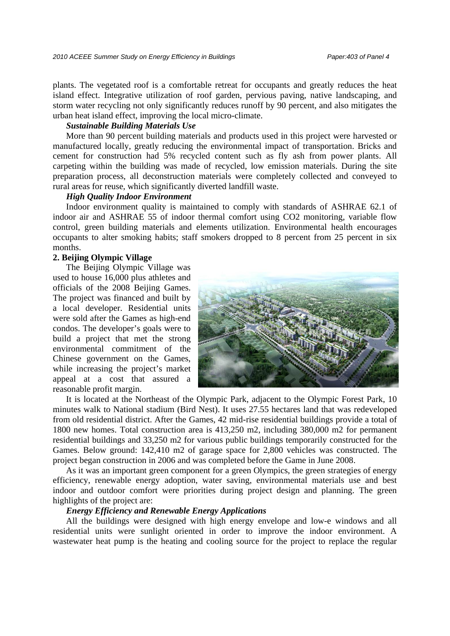plants. The vegetated roof is a comfortable retreat for occupants and greatly reduces the heat island effect. Integrative utilization of roof garden, pervious paving, native landscaping, and storm water recycling not only significantly reduces runoff by 90 percent, and also mitigates the urban heat island effect, improving the local micro-climate.

## *Sustainable Building Materials Use*

More than 90 percent building materials and products used in this project were harvested or manufactured locally, greatly reducing the environmental impact of transportation. Bricks and cement for construction had 5% recycled content such as fly ash from power plants. All carpeting within the building was made of recycled, low emission materials. During the site preparation process, all deconstruction materials were completely collected and conveyed to rural areas for reuse, which significantly diverted landfill waste.

## *High Quality Indoor Environment*

Indoor environment quality is maintained to comply with standards of ASHRAE 62.1 of indoor air and ASHRAE 55 of indoor thermal comfort using CO2 monitoring, variable flow control, green building materials and elements utilization. Environmental health encourages occupants to alter smoking habits; staff smokers dropped to 8 percent from 25 percent in six months.

## **2. Beijing Olympic Village**

The Beijing Olympic Village was used to house 16,000 plus athletes and officials of the 2008 Beijing Games. The project was financed and built by a local developer. Residential units were sold after the Games as high-end condos. The developer's goals were to build a project that met the strong environmental commitment of the Chinese government on the Games, while increasing the project's market appeal at a cost that assured a reasonable profit margin.



It is located at the Northeast of the Olympic Park, adjacent to the Olympic Forest Park, 10 minutes walk to National stadium (Bird Nest). It uses 27.55 hectares land that was redeveloped from old residential district. After the Games, 42 mid-rise residential buildings provide a total of 1800 new homes. Total construction area is 413,250 m2, including 380,000 m2 for permanent residential buildings and 33,250 m2 for various public buildings temporarily constructed for the Games. Below ground: 142,410 m2 of garage space for 2,800 vehicles was constructed. The project began construction in 2006 and was completed before the Game in June 2008.

As it was an important green component for a green Olympics, the green strategies of energy efficiency, renewable energy adoption, water saving, environmental materials use and best indoor and outdoor comfort were priorities during project design and planning. The green highlights of the project are:

### *Energy Efficiency and Renewable Energy Applications*

All the buildings were designed with high energy envelope and low-e windows and all residential units were sunlight oriented in order to improve the indoor environment. A wastewater heat pump is the heating and cooling source for the project to replace the regular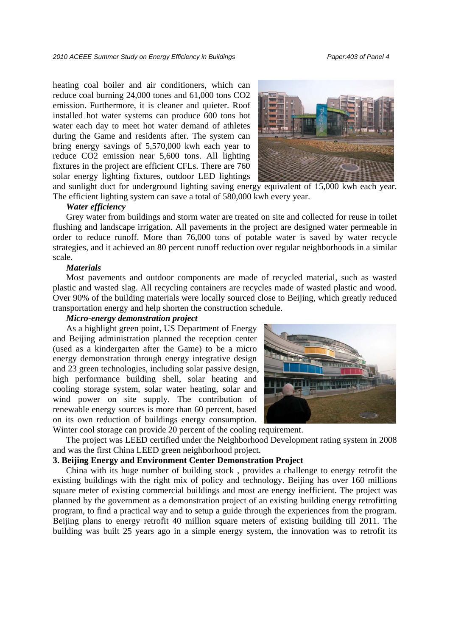heating coal boiler and air conditioners, which can reduce coal burning 24,000 tones and 61,000 tons CO2 emission. Furthermore, it is cleaner and quieter. Roof installed hot water systems can produce 600 tons hot water each day to meet hot water demand of athletes during the Game and residents after. The system can bring energy savings of 5,570,000 kwh each year to reduce CO2 emission near 5,600 tons. All lighting fixtures in the project are efficient CFLs. There are 760 solar energy lighting fixtures, outdoor LED lightings



and sunlight duct for underground lighting saving energy equivalent of 15,000 kwh each year. The efficient lighting system can save a total of 580,000 kwh every year.

#### *Water efficiency*

Grey water from buildings and storm water are treated on site and collected for reuse in toilet flushing and landscape irrigation. All pavements in the project are designed water permeable in order to reduce runoff. More than 76,000 tons of potable water is saved by water recycle strategies, and it achieved an 80 percent runoff reduction over regular neighborhoods in a similar scale.

## *Materials*

Most pavements and outdoor components are made of recycled material, such as wasted plastic and wasted slag. All recycling containers are recycles made of wasted plastic and wood. Over 90% of the building materials were locally sourced close to Beijing, which greatly reduced transportation energy and help shorten the construction schedule.

## *Micro-energy demonstration project*

As a highlight green point, US Department of Energy and Beijing administration planned the reception center (used as a kindergarten after the Game) to be a micro energy demonstration through energy integrative design and 23 green technologies, including solar passive design, high performance building shell, solar heating and cooling storage system, solar water heating, solar and wind power on site supply. The contribution of renewable energy sources is more than 60 percent, based on its own reduction of buildings energy consumption.



Winter cool storage can provide 20 percent of the cooling requirement.

The project was LEED certified under the Neighborhood Development rating system in 2008 and was the first China LEED green neighborhood project.

### **3. Beijing Energy and Environment Center Demonstration Project**

China with its huge number of building stock , provides a challenge to energy retrofit the existing buildings with the right mix of policy and technology. Beijing has over 160 millions square meter of existing commercial buildings and most are energy inefficient. The project was planned by the government as a demonstration project of an existing building energy retrofitting program, to find a practical way and to setup a guide through the experiences from the program. Beijing plans to energy retrofit 40 million square meters of existing building till 2011. The building was built 25 years ago in a simple energy system, the innovation was to retrofit its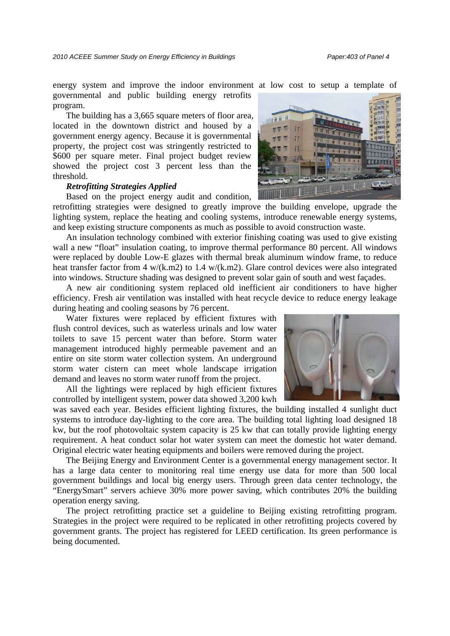energy system and improve the indoor environment at low cost to setup a template of governmental and public building energy retrofits program.

The building has a 3,665 square meters of floor area, located in the downtown district and housed by a government energy agency. Because it is governmental property, the project cost was stringently restricted to \$600 per square meter. Final project budget review showed the project cost 3 percent less than the threshold.

### *Retrofitting Strategies Applied*

Based on the project energy audit and condition,

retrofitting strategies were designed to greatly improve the building envelope, upgrade the lighting system, replace the heating and cooling systems, introduce renewable energy systems, and keep existing structure components as much as possible to avoid construction waste.

An insulation technology combined with exterior finishing coating was used to give existing wall a new "float" insulation coating, to improve thermal performance 80 percent. All windows were replaced by double Low-E glazes with thermal break aluminum window frame, to reduce heat transfer factor from 4 w/(k.m2) to 1.4 w/(k.m2). Glare control devices were also integrated into windows. Structure shading was designed to prevent solar gain of south and west façades.

A new air conditioning system replaced old inefficient air conditioners to have higher efficiency. Fresh air ventilation was installed with heat recycle device to reduce energy leakage during heating and cooling seasons by 76 percent.

Water fixtures were replaced by efficient fixtures with flush control devices, such as waterless urinals and low water toilets to save 15 percent water than before. Storm water management introduced highly permeable pavement and an entire on site storm water collection system. An underground storm water cistern can meet whole landscape irrigation demand and leaves no storm water runoff from the project.

All the lightings were replaced by high efficient fixtures controlled by intelligent system, power data showed 3,200 kwh

was saved each year. Besides efficient lighting fixtures, the building installed 4 sunlight duct systems to introduce day-lighting to the core area. The building total lighting load designed 18 kw, but the roof photovoltaic system capacity is 25 kw that can totally provide lighting energy requirement. A heat conduct solar hot water system can meet the domestic hot water demand. Original electric water heating equipments and boilers were removed during the project.

The Beijing Energy and Environment Center is a governmental energy management sector. It has a large data center to monitoring real time energy use data for more than 500 local government buildings and local big energy users. Through green data center technology, the "EnergySmart" servers achieve 30% more power saving, which contributes 20% the building operation energy saving.

The project retrofitting practice set a guideline to Beijing existing retrofitting program. Strategies in the project were required to be replicated in other retrofitting projects covered by government grants. The project has registered for LEED certification. Its green performance is being documented.



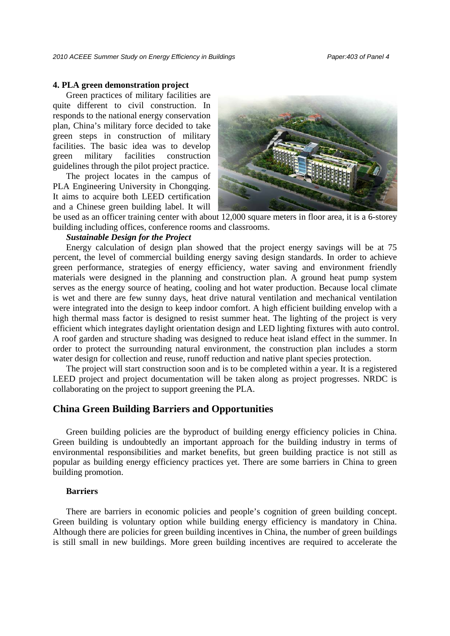#### **4. PLA green demonstration project**

Green practices of military facilities are quite different to civil construction. In responds to the national energy conservation plan, China's military force decided to take green steps in construction of military facilities. The basic idea was to develop green military facilities construction guidelines through the pilot project practice.

The project locates in the campus of PLA Engineering University in Chongqing. It aims to acquire both LEED certification and a Chinese green building label. It will



be used as an officer training center with about 12,000 square meters in floor area, it is a 6-storey building including offices, conference rooms and classrooms.

## *Sustainable Design for the Project*

Energy calculation of design plan showed that the project energy savings will be at 75 percent, the level of commercial building energy saving design standards. In order to achieve green performance, strategies of energy efficiency, water saving and environment friendly materials were designed in the planning and construction plan. A ground heat pump system serves as the energy source of heating, cooling and hot water production. Because local climate is wet and there are few sunny days, heat drive natural ventilation and mechanical ventilation were integrated into the design to keep indoor comfort. A high efficient building envelop with a high thermal mass factor is designed to resist summer heat. The lighting of the project is very efficient which integrates daylight orientation design and LED lighting fixtures with auto control. A roof garden and structure shading was designed to reduce heat island effect in the summer. In order to protect the surrounding natural environment, the construction plan includes a storm water design for collection and reuse, runoff reduction and native plant species protection.

The project will start construction soon and is to be completed within a year. It is a registered LEED project and project documentation will be taken along as project progresses. NRDC is collaborating on the project to support greening the PLA.

# **China Green Building Barriers and Opportunities**

Green building policies are the byproduct of building energy efficiency policies in China. Green building is undoubtedly an important approach for the building industry in terms of environmental responsibilities and market benefits, but green building practice is not still as popular as building energy efficiency practices yet. There are some barriers in China to green building promotion.

#### **Barriers**

There are barriers in economic policies and people's cognition of green building concept. Green building is voluntary option while building energy efficiency is mandatory in China. Although there are policies for green building incentives in China, the number of green buildings is still small in new buildings. More green building incentives are required to accelerate the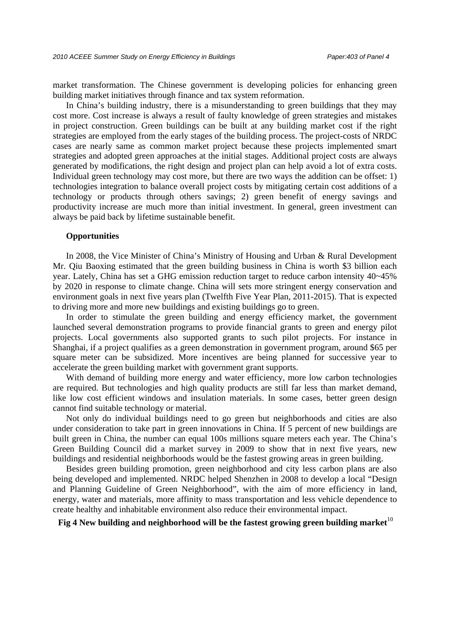market transformation. The Chinese government is developing policies for enhancing green building market initiatives through finance and tax system reformation.

In China's building industry, there is a misunderstanding to green buildings that they may cost more. Cost increase is always a result of faulty knowledge of green strategies and mistakes in project construction. Green buildings can be built at any building market cost if the right strategies are employed from the early stages of the building process. The project-costs of NRDC cases are nearly same as common market project because these projects implemented smart strategies and adopted green approaches at the initial stages. Additional project costs are always generated by modifications, the right design and project plan can help avoid a lot of extra costs. Individual green technology may cost more, but there are two ways the addition can be offset: 1) technologies integration to balance overall project costs by mitigating certain cost additions of a technology or products through others savings; 2) green benefit of energy savings and productivity increase are much more than initial investment. In general, green investment can always be paid back by lifetime sustainable benefit.

### **Opportunities**

In 2008, the Vice Minister of China's Ministry of Housing and Urban & Rural Development Mr. Qiu Baoxing estimated that the green building business in China is worth \$3 billion each year. Lately, China has set a GHG emission reduction target to reduce carbon intensity 40~45% by 2020 in response to climate change. China will sets more stringent energy conservation and environment goals in next five years plan (Twelfth Five Year Plan, 2011-2015). That is expected to driving more and more new buildings and existing buildings go to green.

In order to stimulate the green building and energy efficiency market, the government launched several demonstration programs to provide financial grants to green and energy pilot projects. Local governments also supported grants to such pilot projects. For instance in Shanghai, if a project qualifies as a green demonstration in government program, around \$65 per square meter can be subsidized. More incentives are being planned for successive year to accelerate the green building market with government grant supports.

With demand of building more energy and water efficiency, more low carbon technologies are required. But technologies and high quality products are still far less than market demand, like low cost efficient windows and insulation materials. In some cases, better green design cannot find suitable technology or material.

Not only do individual buildings need to go green but neighborhoods and cities are also under consideration to take part in green innovations in China. If 5 percent of new buildings are built green in China, the number can equal 100s millions square meters each year. The China's Green Building Council did a market survey in 2009 to show that in next five years, new buildings and residential neighborhoods would be the fastest growing areas in green building.

Besides green building promotion, green neighborhood and city less carbon plans are also being developed and implemented. NRDC helped Shenzhen in 2008 to develop a local "Design and Planning Guideline of Green Neighborhood", with the aim of more efficiency in land, energy, water and materials, more affinity to mass transportation and less vehicle dependence to create healthy and inhabitable environment also reduce their environmental impact.

Fig 4 New building and neighborhood will be the fastest growing green building market<sup>10</sup>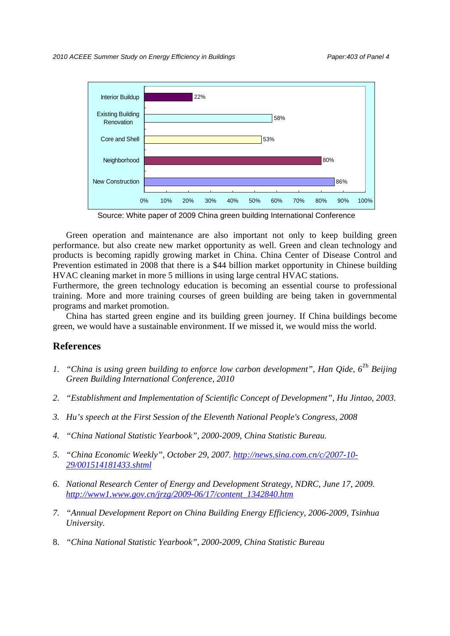

Source: White paper of 2009 China green building International Conference

Green operation and maintenance are also important not only to keep building green performance. but also create new market opportunity as well. Green and clean technology and products is becoming rapidly growing market in China. China Center of Disease Control and Prevention estimated in 2008 that there is a \$44 billion market opportunity in Chinese building HVAC cleaning market in more 5 millions in using large central HVAC stations.

Furthermore, the green technology education is becoming an essential course to professional training. More and more training courses of green building are being taken in governmental programs and market promotion.

China has started green engine and its building green journey. If China buildings become green, we would have a sustainable environment. If we missed it, we would miss the world.

## **References**

- *1. "China is using green building to enforce low carbon development", Han Qide, 6Th Beijing Green Building International Conference, 2010*
- *2. "Establishment and Implementation of Scientific Concept of Development", Hu Jintao, 2003.*
- *3. Hu's speech at the First Session of the Eleventh National People's Congress, 2008*
- *4. "China National Statistic Yearbook", 2000-2009, China Statistic Bureau.*
- *5. "China Economic Weekly", October 29, 2007. http://news.sina.com.cn/c/2007-10- 29/001514181433.shtml*
- *6. National Research Center of Energy and Development Strategy, NDRC, June 17, 2009. http://www1.www.gov.cn/jrzg/2009-06/17/content\_1342840.htm*
- *7. "Annual Development Report on China Building Energy Efficiency, 2006-2009, Tsinhua University.*
- 8. *"China National Statistic Yearbook", 2000-2009, China Statistic Bureau*